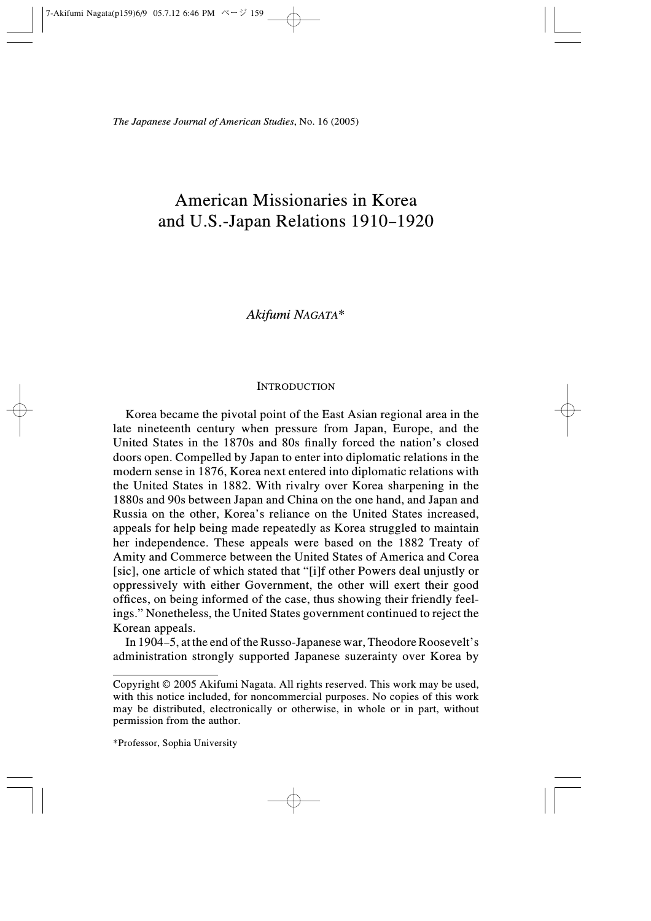# American Missionaries in Korea and U.S.-Japan Relations 1910–1920

# Akifumi NAGATA\*

## **INTRODUCTION**

Korea became the pivotal point of the East Asian regional area in the late nineteenth century when pressure from Japan, Europe, and the United States in the 1870s and 80s finally forced the nation's closed doors open. Compelled by Japan to enter into diplomatic relations in the modern sense in 1876, Korea next entered into diplomatic relations with the United States in 1882. With rivalry over Korea sharpening in the 1880s and 90s between Japan and China on the one hand, and Japan and Russia on the other, Korea's reliance on the United States increased, appeals for help being made repeatedly as Korea struggled to maintain her independence. These appeals were based on the 1882 Treaty of Amity and Commerce between the United States of America and Corea [sic], one article of which stated that "[i]f other Powers deal unjustly or oppressively with either Government, the other will exert their good offices, on being informed of the case, thus showing their friendly feelings." Nonetheless, the United States government continued to reject the Korean appeals.

In 1904–5, at the end of the Russo-Japanese war, Theodore Roosevelt's administration strongly supported Japanese suzerainty over Korea by

Copyright © 2005 Akifumi Nagata. All rights reserved. This work may be used, with this notice included, for noncommercial purposes. No copies of this work may be distributed, electronically or otherwise, in whole or in part, without permission from the author.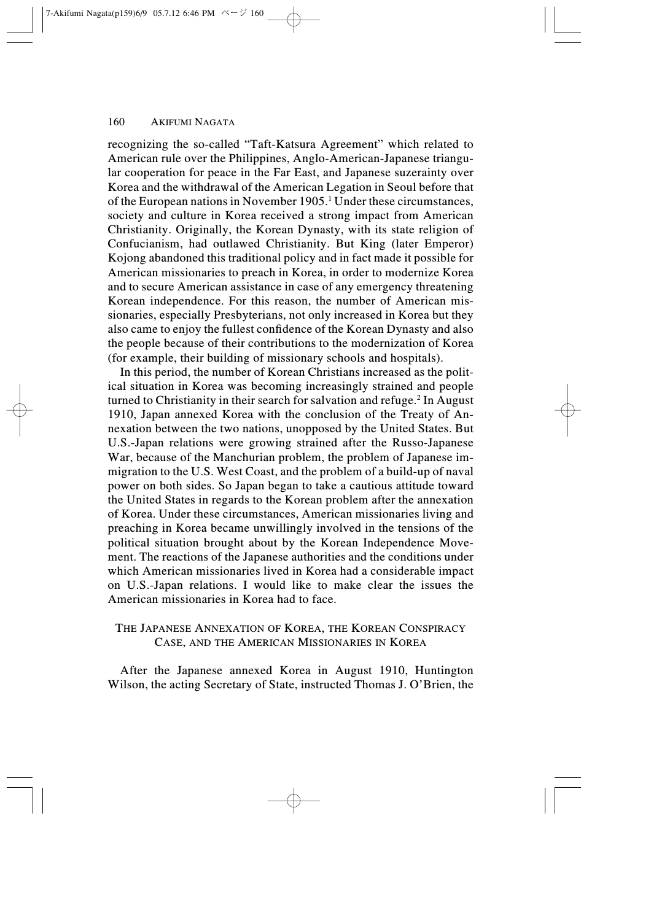recognizing the so-called "Taft-Katsura Agreement" which related to American rule over the Philippines, Anglo-American-Japanese triangular cooperation for peace in the Far East, and Japanese suzerainty over Korea and the withdrawal of the American Legation in Seoul before that of the European nations in November 1905.1 Under these circumstances, society and culture in Korea received a strong impact from American Christianity. Originally, the Korean Dynasty, with its state religion of Confucianism, had outlawed Christianity. But King (later Emperor) Kojong abandoned this traditional policy and in fact made it possible for American missionaries to preach in Korea, in order to modernize Korea and to secure American assistance in case of any emergency threatening Korean independence. For this reason, the number of American missionaries, especially Presbyterians, not only increased in Korea but they also came to enjoy the fullest confidence of the Korean Dynasty and also the people because of their contributions to the modernization of Korea (for example, their building of missionary schools and hospitals).

In this period, the number of Korean Christians increased as the political situation in Korea was becoming increasingly strained and people turned to Christianity in their search for salvation and refuge.<sup>2</sup> In August 1910, Japan annexed Korea with the conclusion of the Treaty of Annexation between the two nations, unopposed by the United States. But U.S.-Japan relations were growing strained after the Russo-Japanese War, because of the Manchurian problem, the problem of Japanese immigration to the U.S. West Coast, and the problem of a build-up of naval power on both sides. So Japan began to take a cautious attitude toward the United States in regards to the Korean problem after the annexation of Korea. Under these circumstances, American missionaries living and preaching in Korea became unwillingly involved in the tensions of the political situation brought about by the Korean Independence Movement. The reactions of the Japanese authorities and the conditions under which American missionaries lived in Korea had a considerable impact on U.S.-Japan relations. I would like to make clear the issues the American missionaries in Korea had to face.

# THE JAPANESE ANNEXATION OF KOREA, THE KOREAN CONSPIRACY CASE, AND THE AMERICAN MISSIONARIES IN KOREA

After the Japanese annexed Korea in August 1910, Huntington Wilson, the acting Secretary of State, instructed Thomas J. O'Brien, the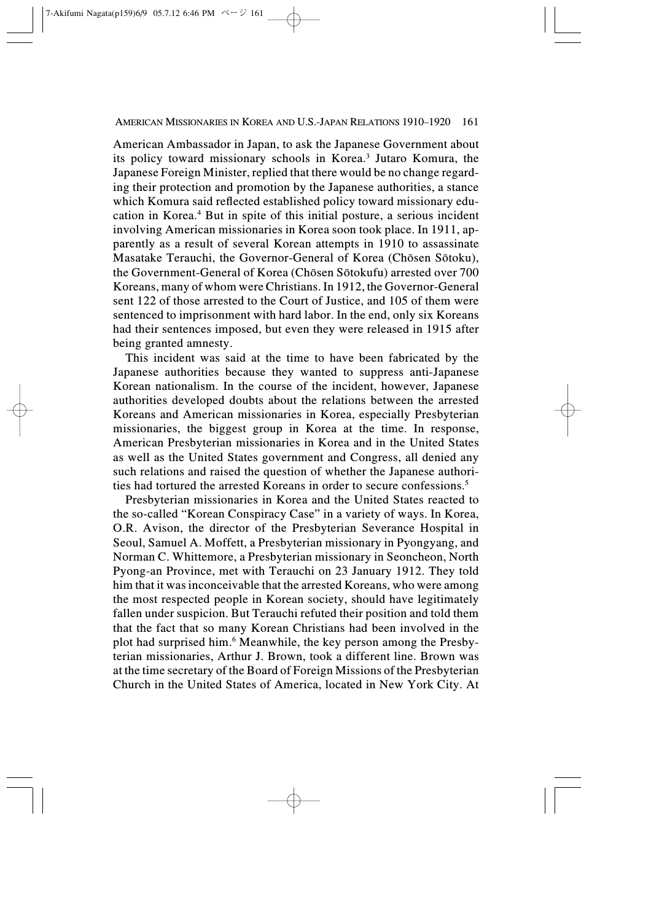American Ambassador in Japan, to ask the Japanese Government about its policy toward missionary schools in Korea.3 Jutaro Komura, the Japanese Foreign Minister, replied that there would be no change regarding their protection and promotion by the Japanese authorities, a stance which Komura said reflected established policy toward missionary education in Korea.4 But in spite of this initial posture, a serious incident involving American missionaries in Korea soon took place. In 1911, apparently as a result of several Korean attempts in 1910 to assassinate Masatake Terauchi, the Governor-General of Korea (Chôsen Sôtoku), the Government-General of Korea (Chôsen Sôtokufu) arrested over 700 Koreans, many of whom were Christians. In 1912, the Governor-General sent 122 of those arrested to the Court of Justice, and 105 of them were sentenced to imprisonment with hard labor. In the end, only six Koreans had their sentences imposed, but even they were released in 1915 after being granted amnesty.

This incident was said at the time to have been fabricated by the Japanese authorities because they wanted to suppress anti-Japanese Korean nationalism. In the course of the incident, however, Japanese authorities developed doubts about the relations between the arrested Koreans and American missionaries in Korea, especially Presbyterian missionaries, the biggest group in Korea at the time. In response, American Presbyterian missionaries in Korea and in the United States as well as the United States government and Congress, all denied any such relations and raised the question of whether the Japanese authorities had tortured the arrested Koreans in order to secure confessions.5

Presbyterian missionaries in Korea and the United States reacted to the so-called "Korean Conspiracy Case" in a variety of ways. In Korea, O.R. Avison, the director of the Presbyterian Severance Hospital in Seoul, Samuel A. Moffett, a Presbyterian missionary in Pyongyang, and Norman C. Whittemore, a Presbyterian missionary in Seoncheon, North Pyong-an Province, met with Terauchi on 23 January 1912. They told him that it was inconceivable that the arrested Koreans, who were among the most respected people in Korean society, should have legitimately fallen under suspicion. But Terauchi refuted their position and told them that the fact that so many Korean Christians had been involved in the plot had surprised him.6 Meanwhile, the key person among the Presbyterian missionaries, Arthur J. Brown, took a different line. Brown was at the time secretary of the Board of Foreign Missions of the Presbyterian Church in the United States of America, located in New York City. At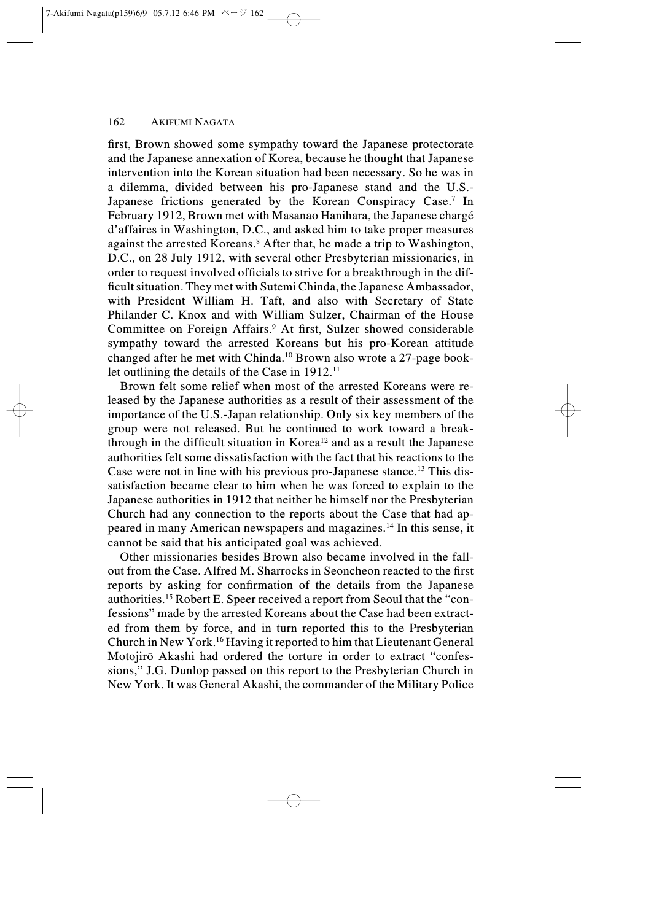first, Brown showed some sympathy toward the Japanese protectorate and the Japanese annexation of Korea, because he thought that Japanese intervention into the Korean situation had been necessary. So he was in a dilemma, divided between his pro-Japanese stand and the U.S.- Japanese frictions generated by the Korean Conspiracy Case.<sup>7</sup> In February 1912, Brown met with Masanao Hanihara, the Japanese chargé d'affaires in Washington, D.C., and asked him to take proper measures against the arrested Koreans.8 After that, he made a trip to Washington, D.C., on 28 July 1912, with several other Presbyterian missionaries, in order to request involved officials to strive for a breakthrough in the difficult situation. They met with Sutemi Chinda, the Japanese Ambassador, with President William H. Taft, and also with Secretary of State Philander C. Knox and with William Sulzer, Chairman of the House Committee on Foreign Affairs.<sup>9</sup> At first, Sulzer showed considerable sympathy toward the arrested Koreans but his pro-Korean attitude changed after he met with Chinda.10 Brown also wrote a 27-page booklet outlining the details of the Case in 1912.<sup>11</sup>

Brown felt some relief when most of the arrested Koreans were released by the Japanese authorities as a result of their assessment of the importance of the U.S.-Japan relationship. Only six key members of the group were not released. But he continued to work toward a breakthrough in the difficult situation in Korea<sup>12</sup> and as a result the Japanese authorities felt some dissatisfaction with the fact that his reactions to the Case were not in line with his previous pro-Japanese stance.13 This dissatisfaction became clear to him when he was forced to explain to the Japanese authorities in 1912 that neither he himself nor the Presbyterian Church had any connection to the reports about the Case that had appeared in many American newspapers and magazines.14 In this sense, it cannot be said that his anticipated goal was achieved.

Other missionaries besides Brown also became involved in the fallout from the Case. Alfred M. Sharrocks in Seoncheon reacted to the first reports by asking for confirmation of the details from the Japanese authorities.15 Robert E. Speer received a report from Seoul that the "confessions" made by the arrested Koreans about the Case had been extracted from them by force, and in turn reported this to the Presbyterian Church in New York.16 Having it reported to him that Lieutenant General Motojirô Akashi had ordered the torture in order to extract "confessions," J.G. Dunlop passed on this report to the Presbyterian Church in New York. It was General Akashi, the commander of the Military Police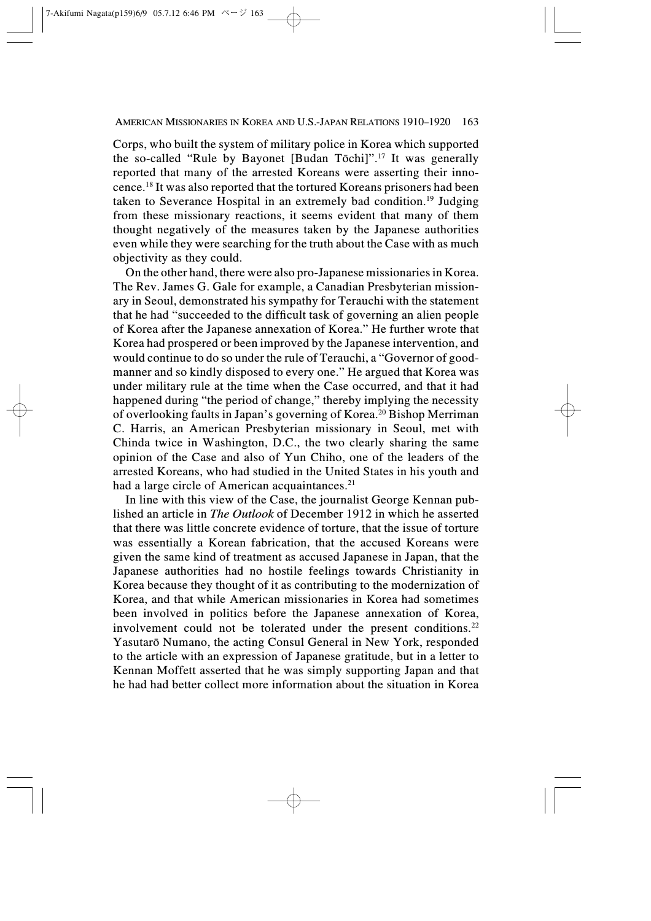Corps, who built the system of military police in Korea which supported the so-called "Rule by Bayonet [Budan Tôchi]".17 It was generally reported that many of the arrested Koreans were asserting their innocence.18 It was also reported that the tortured Koreans prisoners had been taken to Severance Hospital in an extremely bad condition.19 Judging from these missionary reactions, it seems evident that many of them thought negatively of the measures taken by the Japanese authorities even while they were searching for the truth about the Case with as much objectivity as they could.

On the other hand, there were also pro-Japanese missionaries in Korea. The Rev. James G. Gale for example, a Canadian Presbyterian missionary in Seoul, demonstrated his sympathy for Terauchi with the statement that he had "succeeded to the difficult task of governing an alien people of Korea after the Japanese annexation of Korea." He further wrote that Korea had prospered or been improved by the Japanese intervention, and would continue to do so under the rule of Terauchi, a "Governor of goodmanner and so kindly disposed to every one." He argued that Korea was under military rule at the time when the Case occurred, and that it had happened during "the period of change," thereby implying the necessity of overlooking faults in Japan's governing of Korea.20 Bishop Merriman C. Harris, an American Presbyterian missionary in Seoul, met with Chinda twice in Washington, D.C., the two clearly sharing the same opinion of the Case and also of Yun Chiho, one of the leaders of the arrested Koreans, who had studied in the United States in his youth and had a large circle of American acquaintances.<sup>21</sup>

In line with this view of the Case, the journalist George Kennan published an article in The Outlook of December 1912 in which he asserted that there was little concrete evidence of torture, that the issue of torture was essentially a Korean fabrication, that the accused Koreans were given the same kind of treatment as accused Japanese in Japan, that the Japanese authorities had no hostile feelings towards Christianity in Korea because they thought of it as contributing to the modernization of Korea, and that while American missionaries in Korea had sometimes been involved in politics before the Japanese annexation of Korea, involvement could not be tolerated under the present conditions.<sup>22</sup> Yasutarô Numano, the acting Consul General in New York, responded to the article with an expression of Japanese gratitude, but in a letter to Kennan Moffett asserted that he was simply supporting Japan and that he had had better collect more information about the situation in Korea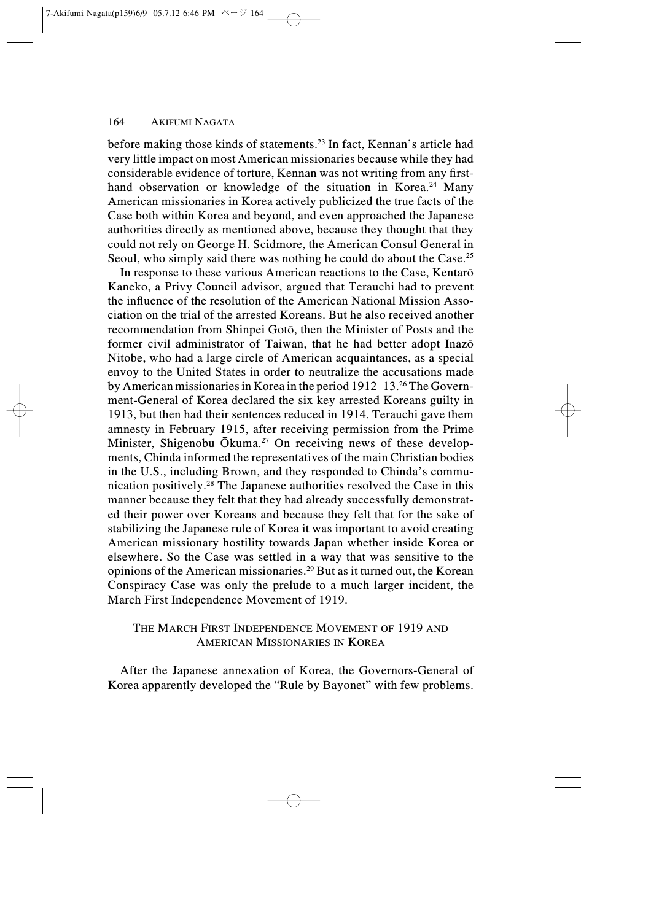before making those kinds of statements.23 In fact, Kennan's article had very little impact on most American missionaries because while they had considerable evidence of torture, Kennan was not writing from any firsthand observation or knowledge of the situation in Korea.<sup>24</sup> Many American missionaries in Korea actively publicized the true facts of the Case both within Korea and beyond, and even approached the Japanese authorities directly as mentioned above, because they thought that they could not rely on George H. Scidmore, the American Consul General in Seoul, who simply said there was nothing he could do about the Case.<sup>25</sup>

In response to these various American reactions to the Case, Kentarô Kaneko, a Privy Council advisor, argued that Terauchi had to prevent the influence of the resolution of the American National Mission Association on the trial of the arrested Koreans. But he also received another recommendation from Shinpei Gotô, then the Minister of Posts and the former civil administrator of Taiwan, that he had better adopt Inazô Nitobe, who had a large circle of American acquaintances, as a special envoy to the United States in order to neutralize the accusations made by American missionaries in Korea in the period 1912–13.26 The Government-General of Korea declared the six key arrested Koreans guilty in 1913, but then had their sentences reduced in 1914. Terauchi gave them amnesty in February 1915, after receiving permission from the Prime Minister, Shigenobu Ōkuma.<sup>27</sup> On receiving news of these developments, Chinda informed the representatives of the main Christian bodies in the U.S., including Brown, and they responded to Chinda's communication positively.28 The Japanese authorities resolved the Case in this manner because they felt that they had already successfully demonstrated their power over Koreans and because they felt that for the sake of stabilizing the Japanese rule of Korea it was important to avoid creating American missionary hostility towards Japan whether inside Korea or elsewhere. So the Case was settled in a way that was sensitive to the opinions of the American missionaries.29 But as it turned out, the Korean Conspiracy Case was only the prelude to a much larger incident, the March First Independence Movement of 1919.

# THE MARCH FIRST INDEPENDENCE MOVEMENT OF 1919 AND AMERICAN MISSIONARIES IN KOREA

After the Japanese annexation of Korea, the Governors-General of Korea apparently developed the "Rule by Bayonet" with few problems.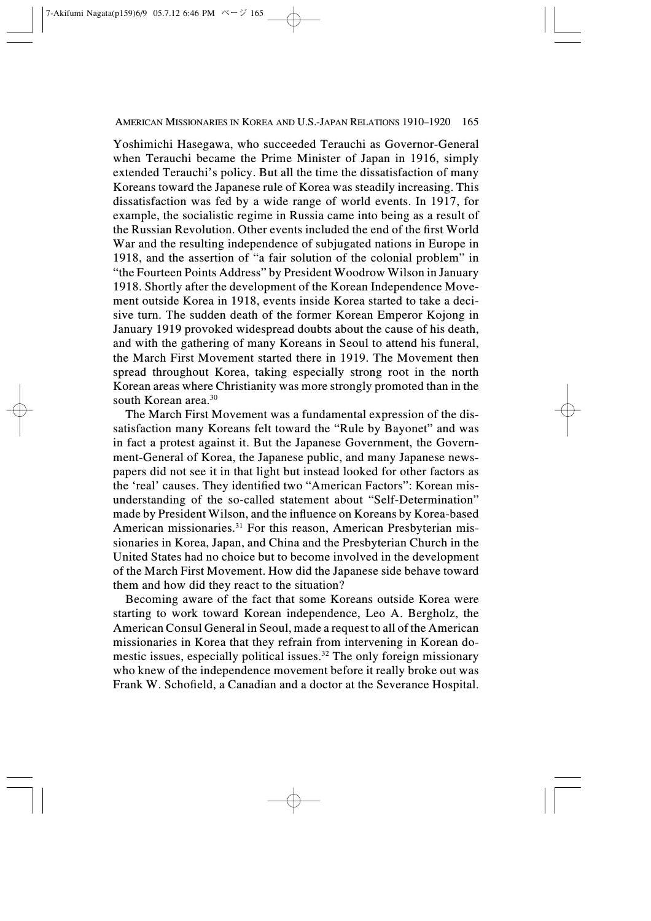Yoshimichi Hasegawa, who succeeded Terauchi as Governor-General when Terauchi became the Prime Minister of Japan in 1916, simply extended Terauchi's policy. But all the time the dissatisfaction of many Koreans toward the Japanese rule of Korea was steadily increasing. This dissatisfaction was fed by a wide range of world events. In 1917, for example, the socialistic regime in Russia came into being as a result of the Russian Revolution. Other events included the end of the first World War and the resulting independence of subjugated nations in Europe in 1918, and the assertion of "a fair solution of the colonial problem" in "the Fourteen Points Address" by President Woodrow Wilson in January 1918. Shortly after the development of the Korean Independence Movement outside Korea in 1918, events inside Korea started to take a decisive turn. The sudden death of the former Korean Emperor Kojong in January 1919 provoked widespread doubts about the cause of his death, and with the gathering of many Koreans in Seoul to attend his funeral, the March First Movement started there in 1919. The Movement then spread throughout Korea, taking especially strong root in the north Korean areas where Christianity was more strongly promoted than in the south Korean area.30

The March First Movement was a fundamental expression of the dissatisfaction many Koreans felt toward the "Rule by Bayonet" and was in fact a protest against it. But the Japanese Government, the Government-General of Korea, the Japanese public, and many Japanese newspapers did not see it in that light but instead looked for other factors as the 'real' causes. They identified two "American Factors": Korean misunderstanding of the so-called statement about "Self-Determination" made by President Wilson, and the influence on Koreans by Korea-based American missionaries.<sup>31</sup> For this reason, American Presbyterian missionaries in Korea, Japan, and China and the Presbyterian Church in the United States had no choice but to become involved in the development of the March First Movement. How did the Japanese side behave toward them and how did they react to the situation?

Becoming aware of the fact that some Koreans outside Korea were starting to work toward Korean independence, Leo A. Bergholz, the American Consul General in Seoul, made a request to all of the American missionaries in Korea that they refrain from intervening in Korean domestic issues, especially political issues.<sup>32</sup> The only foreign missionary who knew of the independence movement before it really broke out was Frank W. Schofield, a Canadian and a doctor at the Severance Hospital.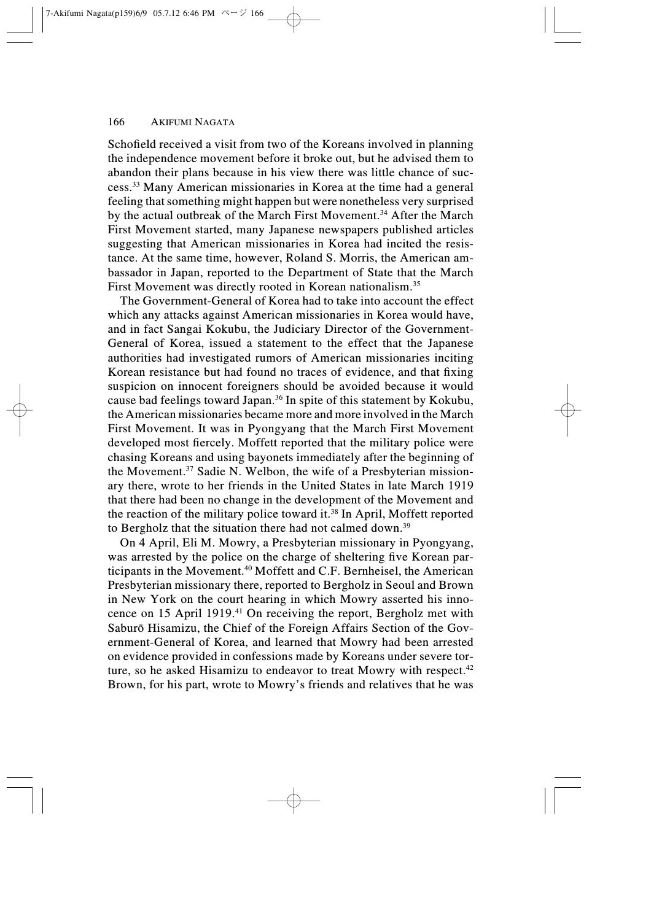Schofield received a visit from two of the Koreans involved in planning the independence movement before it broke out, but he advised them to abandon their plans because in his view there was little chance of success.33 Many American missionaries in Korea at the time had a general feeling that something might happen but were nonetheless very surprised by the actual outbreak of the March First Movement.<sup>34</sup> After the March First Movement started, many Japanese newspapers published articles suggesting that American missionaries in Korea had incited the resistance. At the same time, however, Roland S. Morris, the American ambassador in Japan, reported to the Department of State that the March First Movement was directly rooted in Korean nationalism.<sup>35</sup>

The Government-General of Korea had to take into account the effect which any attacks against American missionaries in Korea would have, and in fact Sangai Kokubu, the Judiciary Director of the Government-General of Korea, issued a statement to the effect that the Japanese authorities had investigated rumors of American missionaries inciting Korean resistance but had found no traces of evidence, and that fixing suspicion on innocent foreigners should be avoided because it would cause bad feelings toward Japan.<sup>36</sup> In spite of this statement by Kokubu, the American missionaries became more and more involved in the March First Movement. It was in Pyongyang that the March First Movement developed most fiercely. Moffett reported that the military police were chasing Koreans and using bayonets immediately after the beginning of the Movement.<sup>37</sup> Sadie N. Welbon, the wife of a Presbyterian missionary there, wrote to her friends in the United States in late March 1919 that there had been no change in the development of the Movement and the reaction of the military police toward it.<sup>38</sup> In April, Moffett reported to Bergholz that the situation there had not calmed down.<sup>39</sup>

On 4 April, Eli M. Mowry, a Presbyterian missionary in Pyongyang, was arrested by the police on the charge of sheltering five Korean participants in the Movement.40 Moffett and C.F. Bernheisel, the American Presbyterian missionary there, reported to Bergholz in Seoul and Brown in New York on the court hearing in which Mowry asserted his innocence on 15 April 1919.41 On receiving the report, Bergholz met with Saburô Hisamizu, the Chief of the Foreign Affairs Section of the Government-General of Korea, and learned that Mowry had been arrested on evidence provided in confessions made by Koreans under severe torture, so he asked Hisamizu to endeavor to treat Mowry with respect.<sup>42</sup> Brown, for his part, wrote to Mowry's friends and relatives that he was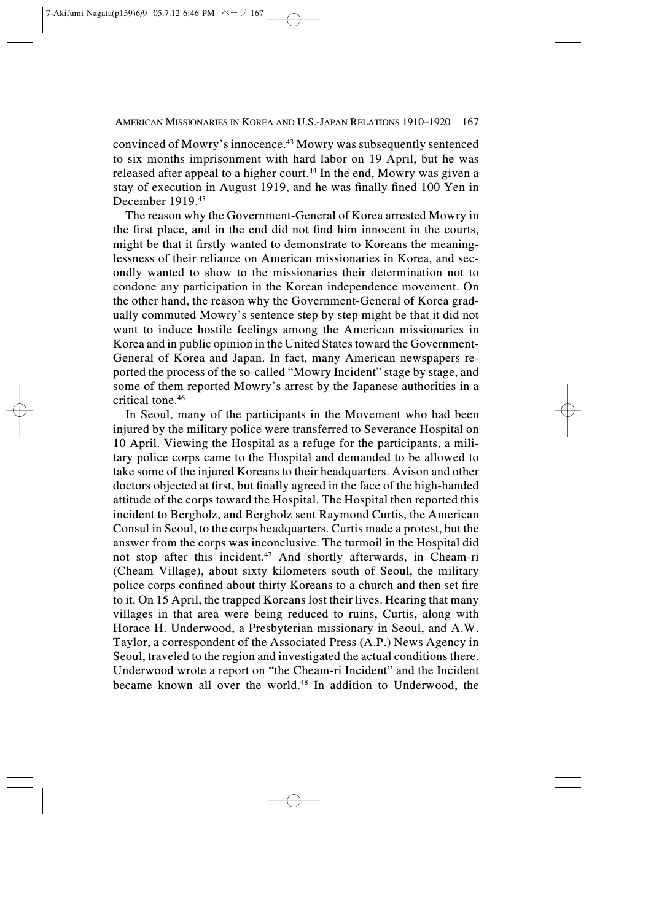convinced of Mowry's innocence.43 Mowry was subsequently sentenced to six months imprisonment with hard labor on 19 April, but he was released after appeal to a higher court.<sup>44</sup> In the end, Mowry was given a stay of execution in August 1919, and he was finally fined 100 Yen in December 1919<sup>45</sup>

The reason why the Government-General of Korea arrested Mowry in the first place, and in the end did not find him innocent in the courts, might be that it firstly wanted to demonstrate to Koreans the meaninglessness of their reliance on American missionaries in Korea, and secondly wanted to show to the missionaries their determination not to condone any participation in the Korean independence movement. On the other hand, the reason why the Government-General of Korea gradually commuted Mowry's sentence step by step might be that it did not want to induce hostile feelings among the American missionaries in Korea and in public opinion in the United States toward the Government-General of Korea and Japan. In fact, many American newspapers reported the process of the so-called "Mowry Incident" stage by stage, and some of them reported Mowry's arrest by the Japanese authorities in a critical tone.46

In Seoul, many of the participants in the Movement who had been injured by the military police were transferred to Severance Hospital on 10 April. Viewing the Hospital as a refuge for the participants, a military police corps came to the Hospital and demanded to be allowed to take some of the injured Koreans to their headquarters. Avison and other doctors objected at first, but finally agreed in the face of the high-handed attitude of the corps toward the Hospital. The Hospital then reported this incident to Bergholz, and Bergholz sent Raymond Curtis, the American Consul in Seoul, to the corps headquarters. Curtis made a protest, but the answer from the corps was inconclusive. The turmoil in the Hospital did not stop after this incident.47 And shortly afterwards, in Cheam-ri (Cheam Village), about sixty kilometers south of Seoul, the military police corps confined about thirty Koreans to a church and then set fire to it. On 15 April, the trapped Koreans lost their lives. Hearing that many villages in that area were being reduced to ruins, Curtis, along with Horace H. Underwood, a Presbyterian missionary in Seoul, and A.W. Taylor, a correspondent of the Associated Press (A.P.) News Agency in Seoul, traveled to the region and investigated the actual conditions there. Underwood wrote a report on "the Cheam-ri Incident" and the Incident became known all over the world.48 In addition to Underwood, the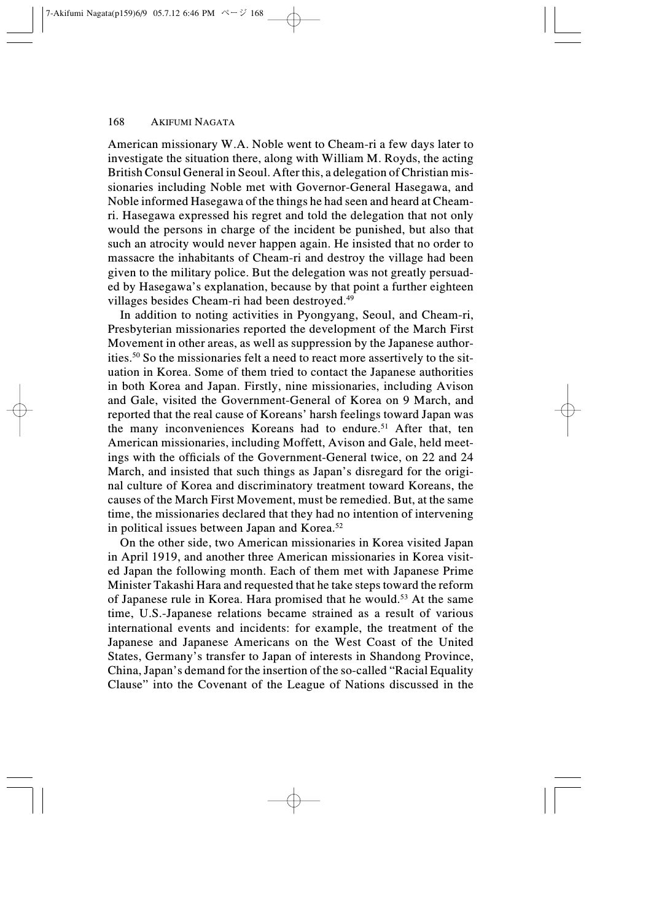American missionary W.A. Noble went to Cheam-ri a few days later to investigate the situation there, along with William M. Royds, the acting British Consul General in Seoul. After this, a delegation of Christian missionaries including Noble met with Governor-General Hasegawa, and Noble informed Hasegawa of the things he had seen and heard at Cheamri. Hasegawa expressed his regret and told the delegation that not only would the persons in charge of the incident be punished, but also that such an atrocity would never happen again. He insisted that no order to massacre the inhabitants of Cheam-ri and destroy the village had been given to the military police. But the delegation was not greatly persuaded by Hasegawa's explanation, because by that point a further eighteen villages besides Cheam-ri had been destroyed.<sup>49</sup>

In addition to noting activities in Pyongyang, Seoul, and Cheam-ri, Presbyterian missionaries reported the development of the March First Movement in other areas, as well as suppression by the Japanese authorities.50 So the missionaries felt a need to react more assertively to the situation in Korea. Some of them tried to contact the Japanese authorities in both Korea and Japan. Firstly, nine missionaries, including Avison and Gale, visited the Government-General of Korea on 9 March, and reported that the real cause of Koreans' harsh feelings toward Japan was the many inconveniences Koreans had to endure.<sup>51</sup> After that, ten American missionaries, including Moffett, Avison and Gale, held meetings with the officials of the Government-General twice, on 22 and 24 March, and insisted that such things as Japan's disregard for the original culture of Korea and discriminatory treatment toward Koreans, the causes of the March First Movement, must be remedied. But, at the same time, the missionaries declared that they had no intention of intervening in political issues between Japan and Korea.<sup>52</sup>

On the other side, two American missionaries in Korea visited Japan in April 1919, and another three American missionaries in Korea visited Japan the following month. Each of them met with Japanese Prime Minister Takashi Hara and requested that he take steps toward the reform of Japanese rule in Korea. Hara promised that he would.<sup>53</sup> At the same time, U.S.-Japanese relations became strained as a result of various international events and incidents: for example, the treatment of the Japanese and Japanese Americans on the West Coast of the United States, Germany's transfer to Japan of interests in Shandong Province, China, Japan's demand for the insertion of the so-called "Racial Equality Clause" into the Covenant of the League of Nations discussed in the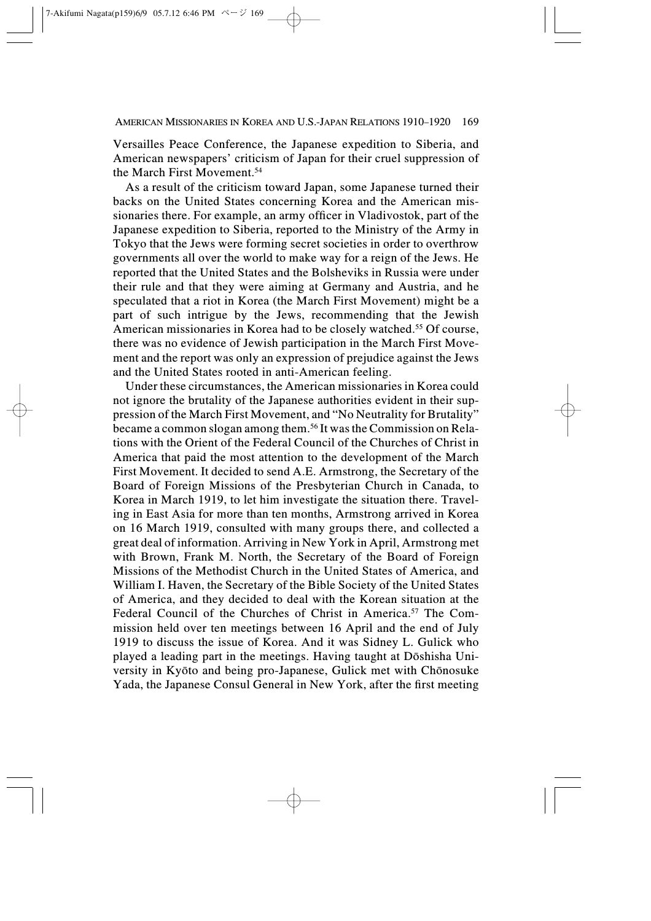Versailles Peace Conference, the Japanese expedition to Siberia, and American newspapers' criticism of Japan for their cruel suppression of the March First Movement.54

As a result of the criticism toward Japan, some Japanese turned their backs on the United States concerning Korea and the American missionaries there. For example, an army officer in Vladivostok, part of the Japanese expedition to Siberia, reported to the Ministry of the Army in Tokyo that the Jews were forming secret societies in order to overthrow governments all over the world to make way for a reign of the Jews. He reported that the United States and the Bolsheviks in Russia were under their rule and that they were aiming at Germany and Austria, and he speculated that a riot in Korea (the March First Movement) might be a part of such intrigue by the Jews, recommending that the Jewish American missionaries in Korea had to be closely watched.<sup>55</sup> Of course, there was no evidence of Jewish participation in the March First Movement and the report was only an expression of prejudice against the Jews and the United States rooted in anti-American feeling.

Under these circumstances, the American missionaries in Korea could not ignore the brutality of the Japanese authorities evident in their suppression of the March First Movement, and "No Neutrality for Brutality" became a common slogan among them.56 It was the Commission on Relations with the Orient of the Federal Council of the Churches of Christ in America that paid the most attention to the development of the March First Movement. It decided to send A.E. Armstrong, the Secretary of the Board of Foreign Missions of the Presbyterian Church in Canada, to Korea in March 1919, to let him investigate the situation there. Traveling in East Asia for more than ten months, Armstrong arrived in Korea on 16 March 1919, consulted with many groups there, and collected a great deal of information. Arriving in New York in April, Armstrong met with Brown, Frank M. North, the Secretary of the Board of Foreign Missions of the Methodist Church in the United States of America, and William I. Haven, the Secretary of the Bible Society of the United States of America, and they decided to deal with the Korean situation at the Federal Council of the Churches of Christ in America.<sup>57</sup> The Commission held over ten meetings between 16 April and the end of July 1919 to discuss the issue of Korea. And it was Sidney L. Gulick who played a leading part in the meetings. Having taught at Dôshisha University in Kyôto and being pro-Japanese, Gulick met with Chônosuke Yada, the Japanese Consul General in New York, after the first meeting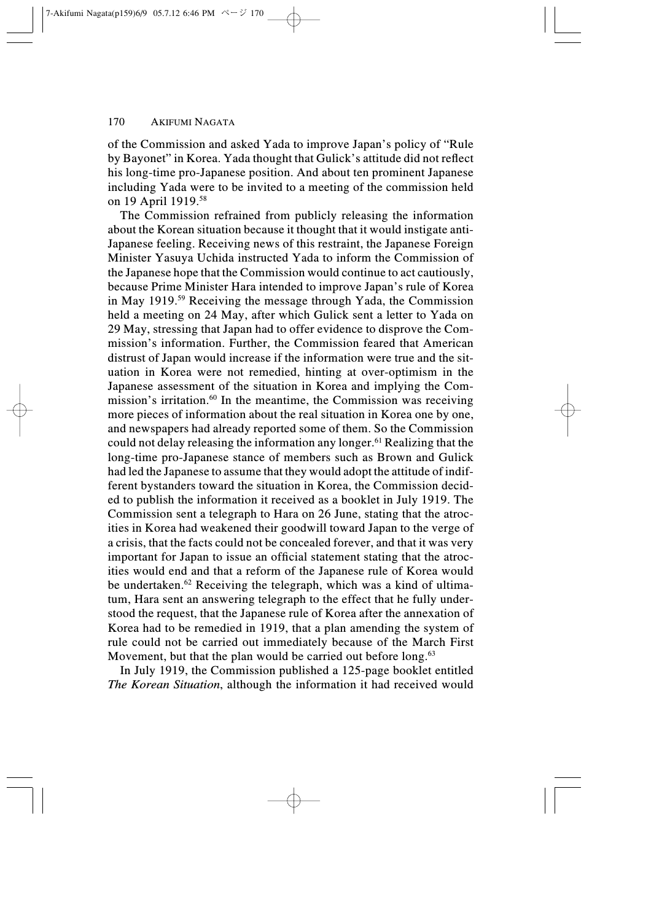of the Commission and asked Yada to improve Japan's policy of "Rule by Bayonet" in Korea. Yada thought that Gulick's attitude did not reflect his long-time pro-Japanese position. And about ten prominent Japanese including Yada were to be invited to a meeting of the commission held on 19 April 1919.<sup>58</sup>

The Commission refrained from publicly releasing the information about the Korean situation because it thought that it would instigate anti-Japanese feeling. Receiving news of this restraint, the Japanese Foreign Minister Yasuya Uchida instructed Yada to inform the Commission of the Japanese hope that the Commission would continue to act cautiously, because Prime Minister Hara intended to improve Japan's rule of Korea in May 1919.59 Receiving the message through Yada, the Commission held a meeting on 24 May, after which Gulick sent a letter to Yada on 29 May, stressing that Japan had to offer evidence to disprove the Commission's information. Further, the Commission feared that American distrust of Japan would increase if the information were true and the situation in Korea were not remedied, hinting at over-optimism in the Japanese assessment of the situation in Korea and implying the Commission's irritation. $60$  In the meantime, the Commission was receiving more pieces of information about the real situation in Korea one by one, and newspapers had already reported some of them. So the Commission could not delay releasing the information any longer.61 Realizing that the long-time pro-Japanese stance of members such as Brown and Gulick had led the Japanese to assume that they would adopt the attitude of indifferent bystanders toward the situation in Korea, the Commission decided to publish the information it received as a booklet in July 1919. The Commission sent a telegraph to Hara on 26 June, stating that the atrocities in Korea had weakened their goodwill toward Japan to the verge of a crisis, that the facts could not be concealed forever, and that it was very important for Japan to issue an official statement stating that the atrocities would end and that a reform of the Japanese rule of Korea would be undertaken.62 Receiving the telegraph, which was a kind of ultimatum, Hara sent an answering telegraph to the effect that he fully understood the request, that the Japanese rule of Korea after the annexation of Korea had to be remedied in 1919, that a plan amending the system of rule could not be carried out immediately because of the March First Movement, but that the plan would be carried out before long.<sup>63</sup>

In July 1919, the Commission published a 125-page booklet entitled The Korean Situation, although the information it had received would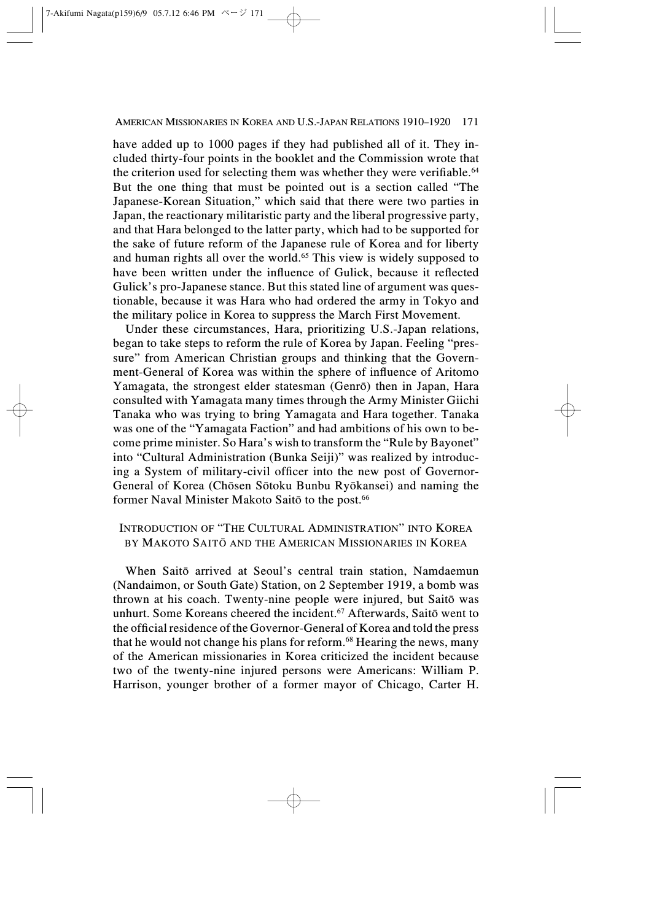AMERICAN MISSIONARIES IN KOREA AND U.S.-JAPAN RELATIONS 1910–1920 171

have added up to 1000 pages if they had published all of it. They included thirty-four points in the booklet and the Commission wrote that the criterion used for selecting them was whether they were verifiable.<sup>64</sup> But the one thing that must be pointed out is a section called "The Japanese-Korean Situation," which said that there were two parties in Japan, the reactionary militaristic party and the liberal progressive party, and that Hara belonged to the latter party, which had to be supported for the sake of future reform of the Japanese rule of Korea and for liberty and human rights all over the world.<sup>65</sup> This view is widely supposed to have been written under the influence of Gulick, because it reflected Gulick's pro-Japanese stance. But this stated line of argument was questionable, because it was Hara who had ordered the army in Tokyo and the military police in Korea to suppress the March First Movement.

Under these circumstances, Hara, prioritizing U.S.-Japan relations, began to take steps to reform the rule of Korea by Japan. Feeling "pressure" from American Christian groups and thinking that the Government-General of Korea was within the sphere of influence of Aritomo Yamagata, the strongest elder statesman (Genrô) then in Japan, Hara consulted with Yamagata many times through the Army Minister Giichi Tanaka who was trying to bring Yamagata and Hara together. Tanaka was one of the "Yamagata Faction" and had ambitions of his own to become prime minister. So Hara's wish to transform the "Rule by Bayonet" into "Cultural Administration (Bunka Seiji)" was realized by introducing a System of military-civil officer into the new post of Governor-General of Korea (Chôsen Sôtoku Bunbu Ryôkansei) and naming the former Naval Minister Makoto Saitō to the post.<sup>66</sup>

# INTRODUCTION OF "THE CULTURAL ADMINISTRATION" INTO KOREA BY MAKOTO SAITÔ AND THE AMERICAN MISSIONARIES IN KOREA

When Saitô arrived at Seoul's central train station, Namdaemun (Nandaimon, or South Gate) Station, on 2 September 1919, a bomb was thrown at his coach. Twenty-nine people were injured, but Saitô was unhurt. Some Koreans cheered the incident.<sup>67</sup> Afterwards, Saitō went to the official residence of the Governor-General of Korea and told the press that he would not change his plans for reform.<sup>68</sup> Hearing the news, many of the American missionaries in Korea criticized the incident because two of the twenty-nine injured persons were Americans: William P. Harrison, younger brother of a former mayor of Chicago, Carter H.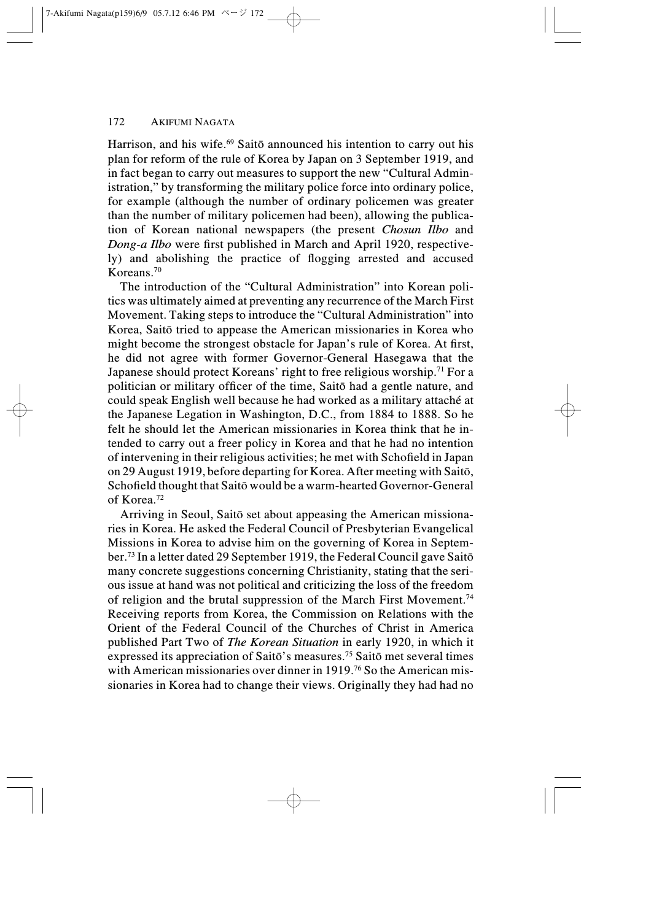Harrison, and his wife.<sup>69</sup> Saitō announced his intention to carry out his plan for reform of the rule of Korea by Japan on 3 September 1919, and in fact began to carry out measures to support the new "Cultural Administration," by transforming the military police force into ordinary police, for example (although the number of ordinary policemen was greater than the number of military policemen had been), allowing the publication of Korean national newspapers (the present Chosun Ilbo and Dong-a Ilbo were first published in March and April 1920, respectively) and abolishing the practice of flogging arrested and accused Koreans.70

The introduction of the "Cultural Administration" into Korean politics was ultimately aimed at preventing any recurrence of the March First Movement. Taking steps to introduce the "Cultural Administration" into Korea, Saitô tried to appease the American missionaries in Korea who might become the strongest obstacle for Japan's rule of Korea. At first, he did not agree with former Governor-General Hasegawa that the Japanese should protect Koreans' right to free religious worship.<sup>71</sup> For a politician or military officer of the time, Saitô had a gentle nature, and could speak English well because he had worked as a military attaché at the Japanese Legation in Washington, D.C., from 1884 to 1888. So he felt he should let the American missionaries in Korea think that he intended to carry out a freer policy in Korea and that he had no intention of intervening in their religious activities; he met with Schofield in Japan on 29 August 1919, before departing for Korea. After meeting with Saitô, Schofield thought that Saitô would be a warm-hearted Governor-General of Korea<sup>72</sup>

Arriving in Seoul, Saitô set about appeasing the American missionaries in Korea. He asked the Federal Council of Presbyterian Evangelical Missions in Korea to advise him on the governing of Korea in September.73 In a letter dated 29 September 1919, the Federal Council gave Saitô many concrete suggestions concerning Christianity, stating that the serious issue at hand was not political and criticizing the loss of the freedom of religion and the brutal suppression of the March First Movement.74 Receiving reports from Korea, the Commission on Relations with the Orient of the Federal Council of the Churches of Christ in America published Part Two of The Korean Situation in early 1920, in which it expressed its appreciation of Saitô's measures.75 Saitô met several times with American missionaries over dinner in 1919.<sup>76</sup> So the American missionaries in Korea had to change their views. Originally they had had no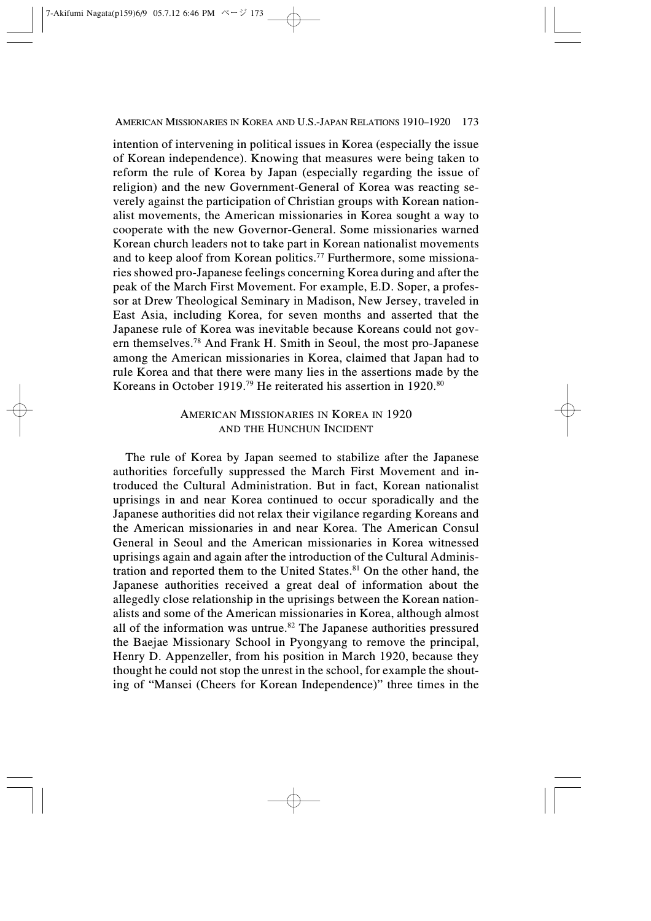#### AMERICAN MISSIONARIES IN KOREA AND U.S.-JAPAN RELATIONS 1910–1920 173

intention of intervening in political issues in Korea (especially the issue of Korean independence). Knowing that measures were being taken to reform the rule of Korea by Japan (especially regarding the issue of religion) and the new Government-General of Korea was reacting severely against the participation of Christian groups with Korean nationalist movements, the American missionaries in Korea sought a way to cooperate with the new Governor-General. Some missionaries warned Korean church leaders not to take part in Korean nationalist movements and to keep aloof from Korean politics.<sup>77</sup> Furthermore, some missionaries showed pro-Japanese feelings concerning Korea during and after the peak of the March First Movement. For example, E.D. Soper, a professor at Drew Theological Seminary in Madison, New Jersey, traveled in East Asia, including Korea, for seven months and asserted that the Japanese rule of Korea was inevitable because Koreans could not govern themselves.78 And Frank H. Smith in Seoul, the most pro-Japanese among the American missionaries in Korea, claimed that Japan had to rule Korea and that there were many lies in the assertions made by the Koreans in October 1919.<sup>79</sup> He reiterated his assertion in 1920.<sup>80</sup>

# AMERICAN MISSIONARIES IN KOREA IN 1920 AND THE HUNCHUN INCIDENT

The rule of Korea by Japan seemed to stabilize after the Japanese authorities forcefully suppressed the March First Movement and introduced the Cultural Administration. But in fact, Korean nationalist uprisings in and near Korea continued to occur sporadically and the Japanese authorities did not relax their vigilance regarding Koreans and the American missionaries in and near Korea. The American Consul General in Seoul and the American missionaries in Korea witnessed uprisings again and again after the introduction of the Cultural Administration and reported them to the United States.<sup>81</sup> On the other hand, the Japanese authorities received a great deal of information about the allegedly close relationship in the uprisings between the Korean nationalists and some of the American missionaries in Korea, although almost all of the information was untrue.<sup>82</sup> The Japanese authorities pressured the Baejae Missionary School in Pyongyang to remove the principal, Henry D. Appenzeller, from his position in March 1920, because they thought he could not stop the unrest in the school, for example the shouting of "Mansei (Cheers for Korean Independence)" three times in the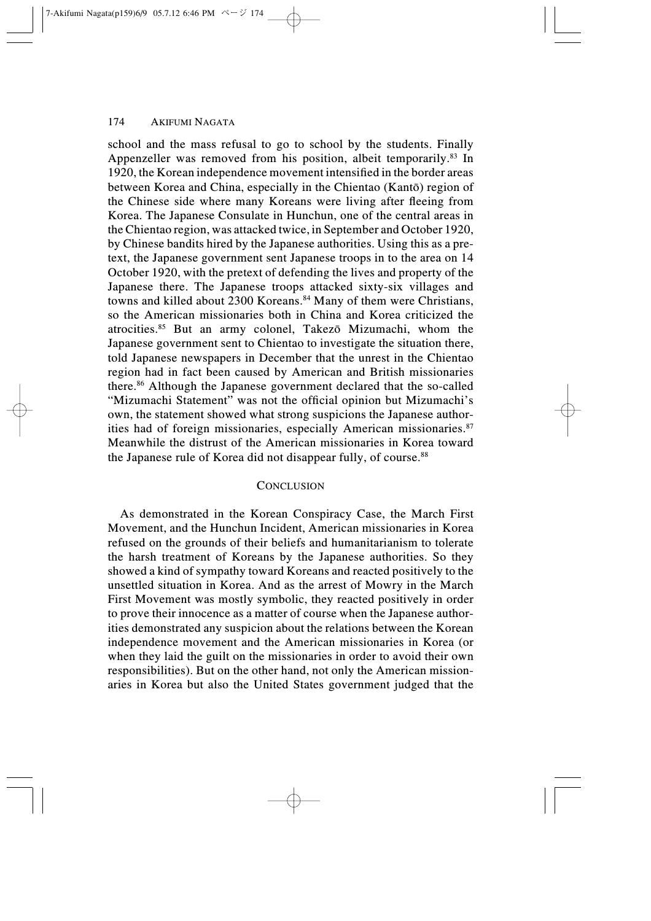school and the mass refusal to go to school by the students. Finally Appenzeller was removed from his position, albeit temporarily.<sup>83</sup> In 1920, the Korean independence movement intensified in the border areas between Korea and China, especially in the Chientao (Kantô) region of the Chinese side where many Koreans were living after fleeing from Korea. The Japanese Consulate in Hunchun, one of the central areas in the Chientao region, was attacked twice, in September and October 1920, by Chinese bandits hired by the Japanese authorities. Using this as a pretext, the Japanese government sent Japanese troops in to the area on 14 October 1920, with the pretext of defending the lives and property of the Japanese there. The Japanese troops attacked sixty-six villages and towns and killed about 2300 Koreans.<sup>84</sup> Many of them were Christians, so the American missionaries both in China and Korea criticized the atrocities.85 But an army colonel, Takezô Mizumachi, whom the Japanese government sent to Chientao to investigate the situation there, told Japanese newspapers in December that the unrest in the Chientao region had in fact been caused by American and British missionaries there.86 Although the Japanese government declared that the so-called "Mizumachi Statement" was not the official opinion but Mizumachi's own, the statement showed what strong suspicions the Japanese authorities had of foreign missionaries, especially American missionaries.<sup>87</sup> Meanwhile the distrust of the American missionaries in Korea toward the Japanese rule of Korea did not disappear fully, of course.<sup>88</sup>

### **CONCLUSION**

As demonstrated in the Korean Conspiracy Case, the March First Movement, and the Hunchun Incident, American missionaries in Korea refused on the grounds of their beliefs and humanitarianism to tolerate the harsh treatment of Koreans by the Japanese authorities. So they showed a kind of sympathy toward Koreans and reacted positively to the unsettled situation in Korea. And as the arrest of Mowry in the March First Movement was mostly symbolic, they reacted positively in order to prove their innocence as a matter of course when the Japanese authorities demonstrated any suspicion about the relations between the Korean independence movement and the American missionaries in Korea (or when they laid the guilt on the missionaries in order to avoid their own responsibilities). But on the other hand, not only the American missionaries in Korea but also the United States government judged that the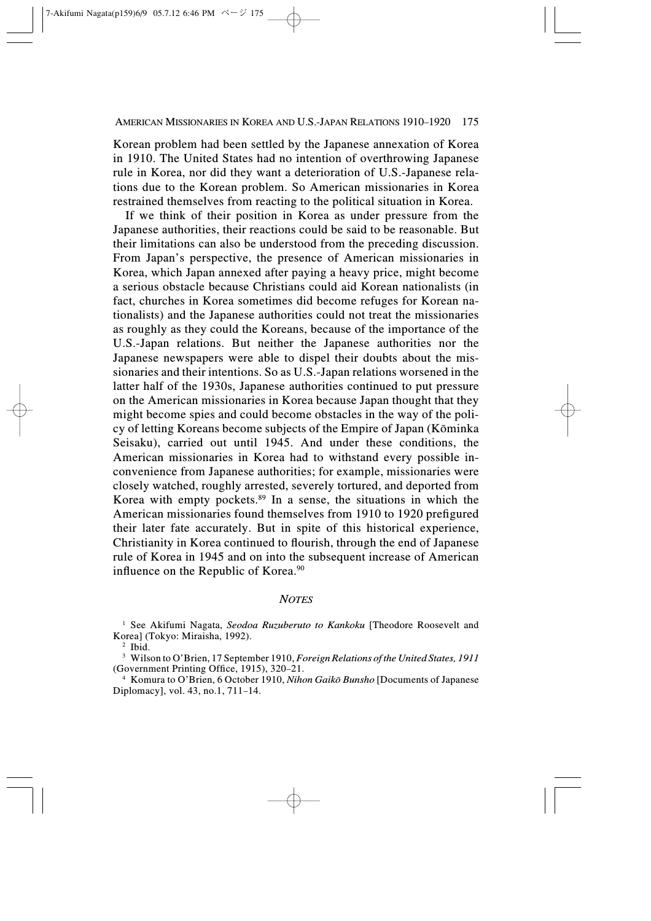Korean problem had been settled by the Japanese annexation of Korea in 1910. The United States had no intention of overthrowing Japanese rule in Korea, nor did they want a deterioration of U.S.-Japanese relations due to the Korean problem. So American missionaries in Korea restrained themselves from reacting to the political situation in Korea.

If we think of their position in Korea as under pressure from the Japanese authorities, their reactions could be said to be reasonable. But their limitations can also be understood from the preceding discussion. From Japan's perspective, the presence of American missionaries in Korea, which Japan annexed after paying a heavy price, might become a serious obstacle because Christians could aid Korean nationalists (in fact, churches in Korea sometimes did become refuges for Korean nationalists) and the Japanese authorities could not treat the missionaries as roughly as they could the Koreans, because of the importance of the U.S.-Japan relations. But neither the Japanese authorities nor the Japanese newspapers were able to dispel their doubts about the missionaries and their intentions. So as U.S.-Japan relations worsened in the latter half of the 1930s, Japanese authorities continued to put pressure on the American missionaries in Korea because Japan thought that they might become spies and could become obstacles in the way of the policy of letting Koreans become subjects of the Empire of Japan (Kôminka Seisaku), carried out until 1945. And under these conditions, the American missionaries in Korea had to withstand every possible inconvenience from Japanese authorities; for example, missionaries were closely watched, roughly arrested, severely tortured, and deported from Korea with empty pockets.89 In a sense, the situations in which the American missionaries found themselves from 1910 to 1920 prefigured their later fate accurately. But in spite of this historical experience, Christianity in Korea continued to flourish, through the end of Japanese rule of Korea in 1945 and on into the subsequent increase of American influence on the Republic of Korea.<sup>90</sup>

#### **NOTES**

<sup>1</sup> See Akifumi Nagata, Seodoa Ruzuberuto to Kankoku [Theodore Roosevelt and Korea] (Tokyo: Miraisha, 1992).

<sup>2</sup> Ibid.

<sup>3</sup> Wilson to O'Brien, 17 September 1910, Foreign Relations of the United States, 1911 (Government Printing Office, 1915), 320–21.

<sup>4</sup> Komura to O'Brien, 6 October 1910, Nihon Gaikô Bunsho [Documents of Japanese Diplomacy], vol. 43, no.1, 711–14.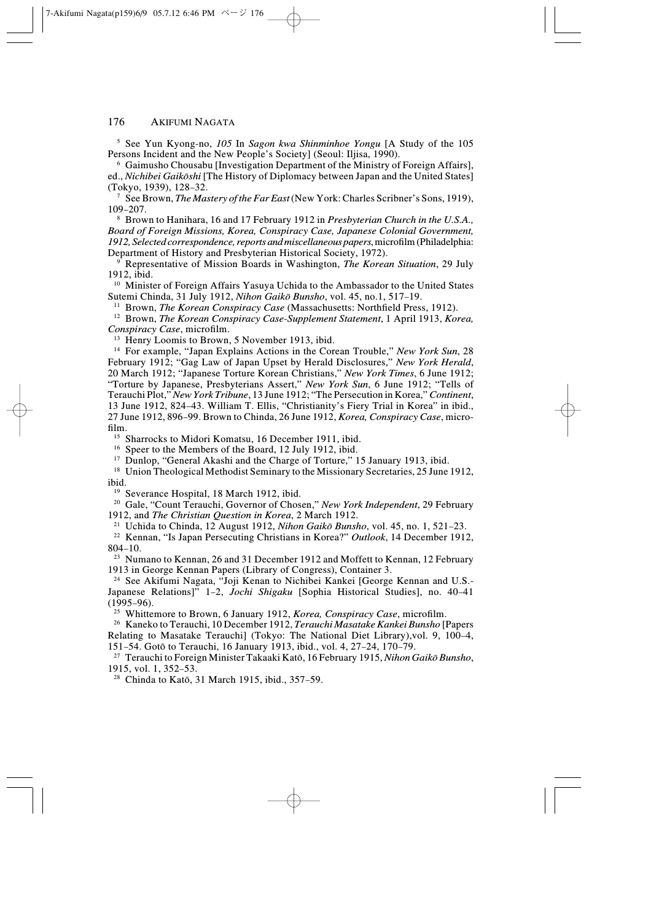$5$  See Yun Kyong-no, 105 In Sagon kwa Shinminhoe Yongu [A Study of the 105 Persons Incident and the New People's Society] (Seoul: Iljisa, 1990).

<sup>6</sup> Gaimusho Chousabu [Investigation Department of the Ministry of Foreign Affairs], ed., *Nichibei Gaikōshi* [The History of Diplomacy between Japan and the United States] (Tokyo, 1939), 128–32.

<sup>7</sup> See Brown, *The Mastery of the Far East* (New York: Charles Scribner's Sons, 1919), 109–207.

<sup>8</sup> Brown to Hanihara, 16 and 17 February 1912 in Presbyterian Church in the U.S.A., Board of Foreign Missions, Korea, Conspiracy Case, Japanese Colonial Government, 1912, Selected correspondence, reports and miscellaneous papers, microfilm (Philadelphia: Department of History and Presbyterian Historical Society, 1972).

 $9^{\circ}$  Representative of Mission Boards in Washington, *The Korean Situation*, 29 July 1912, ibid.

<sup>10</sup> Minister of Foreign Affairs Yasuya Uchida to the Ambassador to the United States Sutemi Chinda, 31 July 1912, Nihon Gaikô Bunsho, vol. 45, no.1, 517–19.

<sup>11</sup> Brown, *The Korean Conspiracy Case* (Massachusetts: Northfield Press, 1912).

<sup>12</sup> Brown, *The Korean Conspiracy Case-Supplement Statement*, 1 April 1913, *Korea*, Conspiracy Case, microfilm.

<sup>13</sup> Henry Loomis to Brown, 5 November 1913, ibid.

<sup>14</sup> For example, "Japan Explains Actions in the Corean Trouble," New York Sun, 28 February 1912; "Gag Law of Japan Upset by Herald Disclosures," New York Herald, 20 March 1912; "Japanese Torture Korean Christians," New York Times, 6 June 1912; "Torture by Japanese, Presbyterians Assert," New York Sun, 6 June 1912; "Tells of Terauchi Plot," New York Tribune, 13 June 1912; "The Persecution in Korea," Continent, 13 June 1912, 824–43. William T. Ellis, "Christianity's Fiery Trial in Korea" in ibid., 27 June 1912, 896–99. Brown to Chinda, 26 June 1912, Korea, Conspiracy Case, microfilm.

<sup>15</sup> Sharrocks to Midori Komatsu, 16 December 1911, ibid.

<sup>16</sup> Speer to the Members of the Board, 12 July 1912, ibid.

<sup>17</sup> Dunlop, "General Akashi and the Charge of Torture," 15 January 1913, ibid.

<sup>18</sup> Union Theological Methodist Seminary to the Missionary Secretaries, 25 June 1912, ibid.

<sup>19</sup> Severance Hospital, 18 March 1912, ibid.

<sup>20</sup> Gale, "Count Terauchi, Governor of Chosen," New York Independent, 29 February 1912, and The Christian Question in Korea, 2 March 1912.

<sup>21</sup> Uchida to Chinda, 12 August 1912, *Nihon Gaikō Bunsho*, vol. 45, no. 1, 521–23.

<sup>22</sup> Kennan, "Is Japan Persecuting Christians in Korea?" Outlook, 14 December 1912, 804–10.

<sup>23</sup> Numano to Kennan, 26 and 31 December 1912 and Moffett to Kennan, 12 February 1913 in George Kennan Papers (Library of Congress), Container 3.

<sup>24</sup> See Akifumi Nagata, "Joji Kenan to Nichibei Kankei [George Kennan and U.S.- Japanese Relations]<sup>"</sup> 1–2, *Jochi Shigaku* [Sophia Historical Studies], no. 40–41 (1995–96).

<sup>25</sup> Whittemore to Brown, 6 January 1912, Korea, Conspiracy Case, microfilm.

<sup>26</sup> Kaneko to Terauchi, 10 December 1912, Terauchi Masatake Kankei Bunsho [Papers Relating to Masatake Terauchi] (Tokyo: The National Diet Library),vol. 9, 100–4, 151–54. Gotô to Terauchi, 16 January 1913, ibid., vol. 4, 27–24, 170–79.

<sup>27</sup> Terauchi to Foreign Minister Takaaki Katō, 16 February 1915, Nihon Gaikō Bunsho, 1915, vol. 1, 352–53.

<sup>28</sup> Chinda to Katô, 31 March 1915, ibid., 357–59.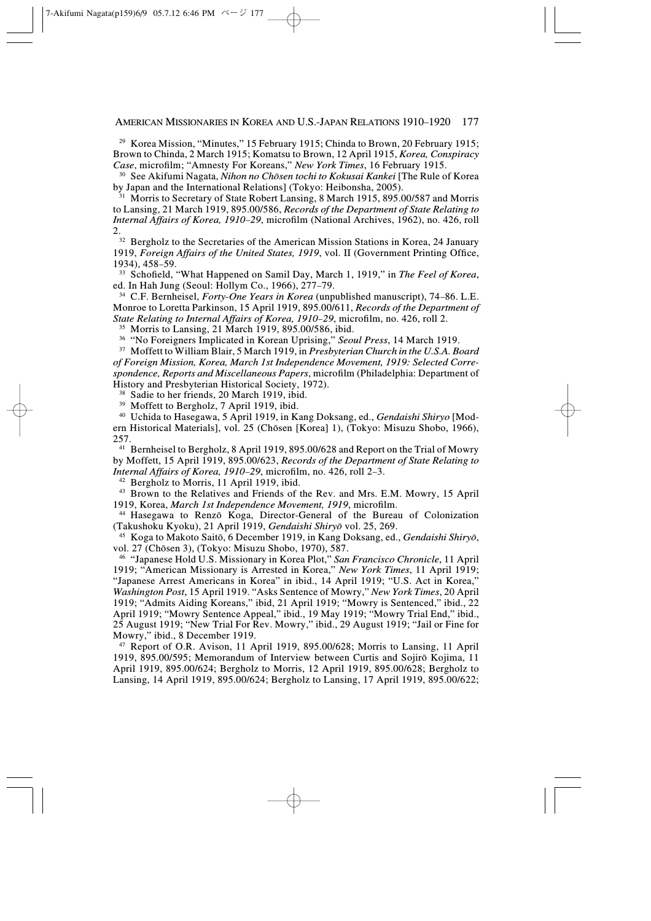AMERICAN MISSIONARIES IN KOREA AND U.S.-JAPAN RELATIONS 1910–1920 177

<sup>29</sup> Korea Mission, "Minutes," 15 February 1915; Chinda to Brown, 20 February 1915; Brown to Chinda, 2 March 1915; Komatsu to Brown, 12 April 1915, Korea, Conspiracy Case, microfilm; "Amnesty For Koreans," New York Times, 16 February 1915.

<sup>30</sup> See Akifumi Nagata, *Nihon no Chōsen tochi to Kokusai Kankei* [The Rule of Korea by Japan and the International Relations] (Tokyo: Heibonsha, 2005).

<sup>31</sup> Morris to Secretary of State Robert Lansing, 8 March 1915, 895.00/587 and Morris to Lansing, 21 March 1919, 895.00/586, Records of the Department of State Relating to Internal Affairs of Korea, 1910–29, microfilm (National Archives, 1962), no. 426, roll 2.

<sup>32</sup> Bergholz to the Secretaries of the American Mission Stations in Korea, 24 January 1919, Foreign Affairs of the United States, 1919, vol. II (Government Printing Office, 1934), 458–59.

<sup>33</sup> Schofield, "What Happened on Samil Day, March 1, 1919," in The Feel of Korea, ed. In Hah Jung (Seoul: Hollym Co., 1966), 277–79.

 $34$  C.F. Bernheisel, *Forty-One Years in Korea* (unpublished manuscript), 74–86. L.E. Monroe to Loretta Parkinson, 15 April 1919, 895.00/611, Records of the Department of State Relating to Internal Affairs of Korea, 1910–29, microfilm, no. 426, roll 2.

<sup>35</sup> Morris to Lansing, 21 March 1919, 895.00/586, ibid.

<sup>36</sup> "No Foreigners Implicated in Korean Uprising," Seoul Press, 14 March 1919.

<sup>37</sup> Moffett to William Blair, 5 March 1919, in Presbyterian Church in the U.S.A. Board of Foreign Mission, Korea, March 1st Independence Movement, 1919: Selected Correspondence, Reports and Miscellaneous Papers, microfilm (Philadelphia: Department of History and Presbyterian Historical Society, 1972).

<sup>38</sup> Sadie to her friends, 20 March 1919, ibid.

<sup>39</sup> Moffett to Bergholz, 7 April 1919, ibid.

<sup>40</sup> Uchida to Hasegawa, 5 April 1919, in Kang Doksang, ed., Gendaishi Shiryo [Modern Historical Materials], vol. 25 (Chôsen [Korea] 1), (Tokyo: Misuzu Shobo, 1966), 257.

<sup>41</sup> Bernheisel to Bergholz, 8 April 1919, 895.00/628 and Report on the Trial of Mowry by Moffett, 15 April 1919, 895.00/623, Records of the Department of State Relating to Internal Affairs of Korea, 1910–29, microfilm, no. 426, roll 2–3.

<sup>42</sup> Bergholz to Morris, 11 April 1919, ibid.

<sup>43</sup> Brown to the Relatives and Friends of the Rev. and Mrs. E.M. Mowry, 15 April 1919, Korea, March 1st Independence Movement, 1919, microfilm.

<sup>44</sup> Hasegawa to Renzô Koga, Director-General of the Bureau of Colonization (Takushoku Kyoku), 21 April 1919, Gendaishi Shiryô vol. 25, 269.

<sup>45</sup> Koga to Makoto Saitō, 6 December 1919, in Kang Doksang, ed., *Gendaishi Shiryō*, vol. 27 (Chôsen 3), (Tokyo: Misuzu Shobo, 1970), 587.

<sup>46</sup> "Japanese Hold U.S. Missionary in Korea Plot," San Francisco Chronicle, 11 April 1919; "American Missionary is Arrested in Korea," New York Times, 11 April 1919; "Japanese Arrest Americans in Korea" in ibid., 14 April 1919; "U.S. Act in Korea," Washington Post, 15 April 1919. "Asks Sentence of Mowry," New York Times, 20 April 1919; "Admits Aiding Koreans," ibid, 21 April 1919; "Mowry is Sentenced," ibid., 22 April 1919; "Mowry Sentence Appeal," ibid., 19 May 1919; "Mowry Trial End," ibid., 25 August 1919; "New Trial For Rev. Mowry," ibid., 29 August 1919; "Jail or Fine for Mowry," ibid., 8 December 1919.

<sup>47</sup> Report of O.R. Avison, 11 April 1919, 895.00/628; Morris to Lansing, 11 April 1919, 895.00/595; Memorandum of Interview between Curtis and Sojirô Kojima, 11 April 1919, 895.00/624; Bergholz to Morris, 12 April 1919, 895.00/628; Bergholz to Lansing, 14 April 1919, 895.00/624; Bergholz to Lansing, 17 April 1919, 895.00/622;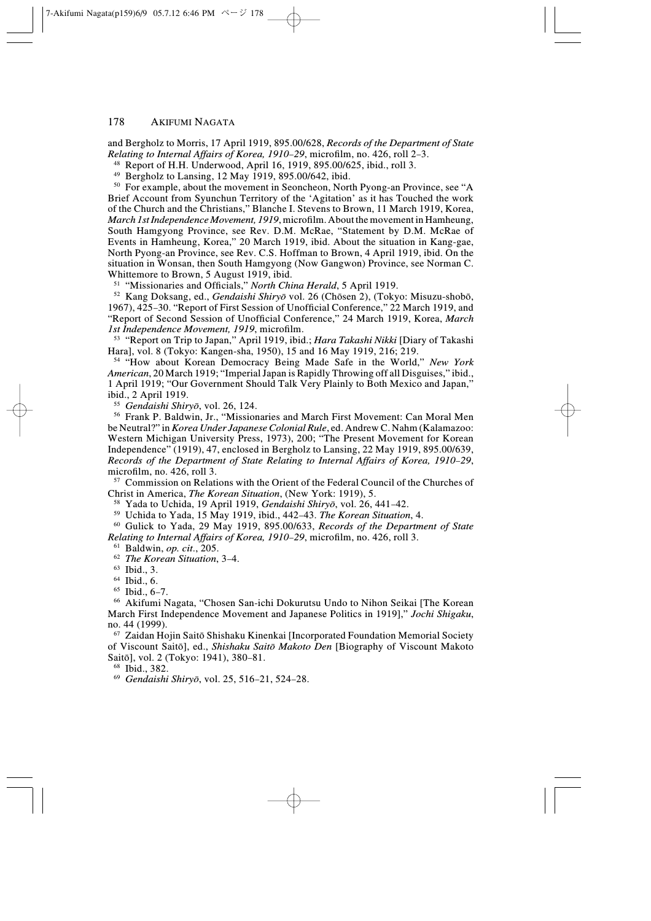and Bergholz to Morris, 17 April 1919, 895.00/628, Records of the Department of State Relating to Internal Affairs of Korea, 1910–29, microfilm, no. 426, roll 2–3.

<sup>48</sup> Report of H.H. Underwood, April 16, 1919, 895.00/625, ibid., roll 3.

<sup>49</sup> Bergholz to Lansing, 12 May 1919, 895.00/642, ibid.

<sup>50</sup> For example, about the movement in Seoncheon, North Pyong-an Province, see "A Brief Account from Syunchun Territory of the 'Agitation' as it has Touched the work of the Church and the Christians," Blanche I. Stevens to Brown, 11 March 1919, Korea, March 1st Independence Movement, 1919, microfilm. About the movement in Hamheung, South Hamgyong Province, see Rev. D.M. McRae, "Statement by D.M. McRae of Events in Hamheung, Korea," 20 March 1919, ibid. About the situation in Kang-gae, North Pyong-an Province, see Rev. C.S. Hoffman to Brown, 4 April 1919, ibid. On the situation in Wonsan, then South Hamgyong (Now Gangwon) Province, see Norman C. Whittemore to Brown, 5 August 1919, ibid.

<sup>51</sup> "Missionaries and Officials," *North China Herald*, 5 April 1919.

<sup>52</sup> Kang Doksang, ed., Gendaishi Shiryô vol. 26 (Chôsen 2), (Tokyo: Misuzu-shobô, 1967), 425–30. "Report of First Session of Unofficial Conference," 22 March 1919, and "Report of Second Session of Unofficial Conference," 24 March 1919, Korea, March 1st Independence Movement, 1919, microfilm.

<sup>53</sup> "Report on Trip to Japan," April 1919, ibid.; Hara Takashi Nikki [Diary of Takashi Hara], vol. 8 (Tokyo: Kangen-sha, 1950), 15 and 16 May 1919, 216; 219.

<sup>54</sup> "How about Korean Democracy Being Made Safe in the World," New York American, 20 March 1919; "Imperial Japan is Rapidly Throwing off all Disguises," ibid., 1 April 1919; "Our Government Should Talk Very Plainly to Both Mexico and Japan," ibid., 2 April 1919.

<sup>55</sup> Gendaishi Shiryô, vol. 26, 124.

<sup>56</sup> Frank P. Baldwin, Jr., "Missionaries and March First Movement: Can Moral Men be Neutral?" in Korea Under Japanese Colonial Rule, ed. Andrew C. Nahm (Kalamazoo: Western Michigan University Press, 1973), 200; "The Present Movement for Korean Independence" (1919), 47, enclosed in Bergholz to Lansing, 22 May 1919, 895.00/639, Records of the Department of State Relating to Internal Affairs of Korea, 1910–29, microfilm, no. 426, roll 3.

<sup>57</sup> Commission on Relations with the Orient of the Federal Council of the Churches of Christ in America, The Korean Situation, (New York: 1919), 5.

<sup>58</sup> Yada to Uchida, 19 April 1919, *Gendaishi Shirvō*, vol. 26, 441–42.

<sup>59</sup> Uchida to Yada, 15 May 1919, ibid., 442–43. The Korean Situation, 4.

 $60$  Gulick to Yada, 29 May 1919, 895.00/633, Records of the Department of State Relating to Internal Affairs of Korea, 1910–29, microfilm, no. 426, roll 3.

 $61$  Baldwin, op. cit., 205.

<sup>62</sup> The Korean Situation, 3–4.

<sup>63</sup> Ibid., 3.

<sup>64</sup> Ibid., 6.

 $65$  Ibid.,  $6-7$ .

<sup>66</sup> Akifumi Nagata, "Chosen San-ichi Dokurutsu Undo to Nihon Seikai [The Korean March First Independence Movement and Japanese Politics in 1919]," Jochi Shigaku, no. 44 (1999).

<sup>67</sup> Zaidan Hojin Saitô Shishaku Kinenkai [Incorporated Foundation Memorial Society of Viscount Saitô], ed., Shishaku Saitô Makoto Den [Biography of Viscount Makoto Saitô], vol. 2 (Tokyo: 1941), 380–81.

<sup>68</sup> Ibid., 382.

<sup>69</sup> Gendaishi Shiryô, vol. 25, 516–21, 524–28.